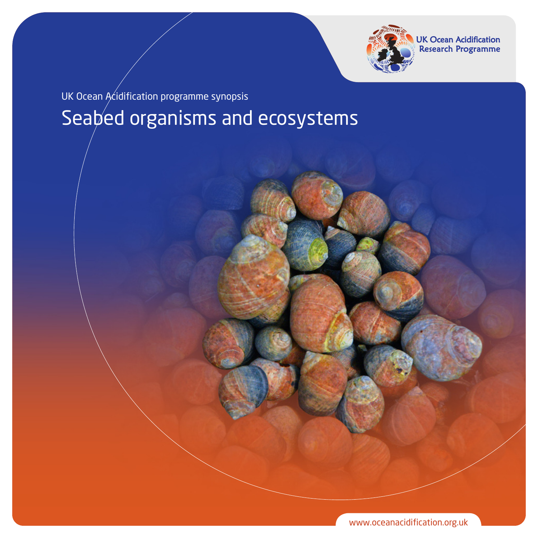

**UK Ocean Acidification** Research Programme

Seabed organisms and ecosystems UK Ocean Acidification programme synopsis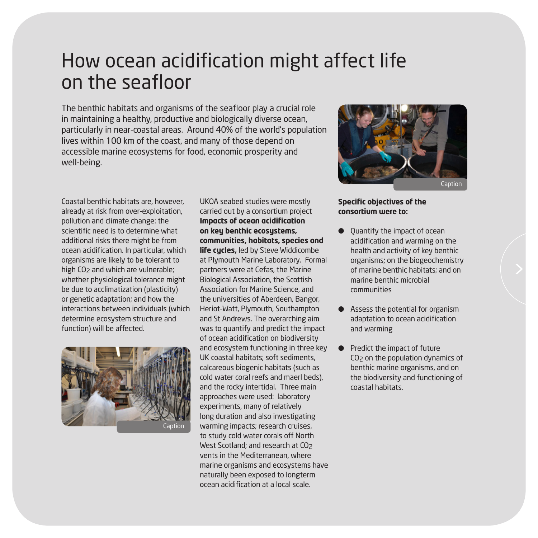# How ocean acidification might affect life on the seafloor

The benthic habitats and organisms of the seafloor play a crucial role in maintaining a healthy, productive and biologically diverse ocean, particularly in near-coastal areas. Around 40% of the world's population lives within 100 km of the coast, and many of those depend on accessible marine ecosystems for food, economic prosperity and well-being.

Coastal benthic habitats are, however, already at risk from over-exploitation, pollution and climate change: the scientific need is to determine what additional risks there might be from ocean acidification. In particular, which organisms are likely to be tolerant to high CO<sub>2</sub> and which are vulnerable: whether physiological tolerance might be due to acclimatization (plasticity) or genetic adaptation; and how the interactions between individuals (which determine ecosystem structure and function) will be affected.



UKOA seabed studies were mostly carried out by a consortium project **Impacts of ocean acidification on key benthic ecosystems, communities, habitats, species and life cycles,** led by Steve Widdicombe at Plymouth Marine Laboratory. Formal partners were at Cefas, the Marine Biological Association, the Scottish Association for Marine Science, and the universities of Aberdeen, Bangor, Heriot-Watt, Plymouth, Southampton and St Andrews. The overarching aim was to quantify and predict the impact of ocean acidification on biodiversity and ecosystem functioning in three key UK coastal habitats; soft sediments, calcareous biogenic habitats (such as cold water coral reefs and maerl beds), and the rocky intertidal. Three main approaches were used: laboratory experiments, many of relatively long duration and also investigating warming impacts; research cruises, to study cold water corals off North West Scotland; and research at CO<sub>2</sub> vents in the Mediterranean, where marine organisms and ecosystems have naturally been exposed to longterm ocean acidification at a local scale.



### **Specific objectives of the consortium were to:**

- Quantify the impact of ocean acidification and warming on the health and activity of key benthic organisms; on the biogeochemistry of marine benthic habitats; and on marine benthic microbial communities
- Assess the potential for organism adaptation to ocean acidification and warming
- **•** Predict the impact of future CO2 on the population dynamics of benthic marine organisms, and on the biodiversity and functioning of coastal habitats.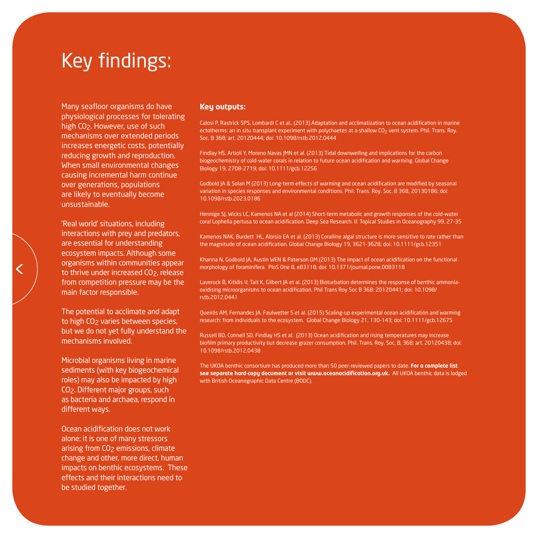# Key findings:

Many seafloor organisms do have physiological processes for tolerating high CO<sub>2</sub>. However, use of such mechanisms over extended periods increases energetic costs, potentially reducing growth and reproduction. When small environmental changes causing incremental harm continue over generations, populations are likely to eventually become unsustainable.

'Real world' situations, including interactions with prey and predators, are essential for understanding ecosystem impacts. Although some organisms within communities appear to thrive under increased CO<sub>2</sub>, release from competition pressure may be the main factor responsible.

The potential to acclimate and adapt to high CO<sub>2</sub> varies between species, but we do not yet fully understand the mechanisms involved.

Microbial organisms living in marine sediments (with key biogeochemical roles) may also be impacted by high CO2. Different major groups, such as bacteria and archaea, respond in different ways.

Ocean acidification does not work alone: it is one of many stressors arising from CO<sub>2</sub> emissions, climate change and other, more direct, human impacts on benthic ecosystems. These effects and their interactions need to be studied together.

#### **Key outputs:**

Calosi P, Rastrick SPS, Lombardi C et al., (2013) Adaptation and acclimatization to ocean acidification in marine ectotherms: an in situ transplant experiment with polychaetes at a shallow CO<sub>2</sub> vent system. Phil. Trans. Roy. Soc. B 368; art. 20120444; doi: 10.1098/rstb.2012.0444

Findlay HS, Artioli Y, Moreno Navas JMN et al. (2013) Tidal downwelling and implications for the carbon biogeochemistry of cold-water corals in relation to future ocean acidification and warming. Global Change Biology 19, 2708-2719; doi: 10.1111/gcb.12256

Godbold JA & Solan M (2013) Long-term effects of warming and ocean acidification are modified by seasonal variation in species responses and environmental conditions. Phil. Trans. Roy. Soc. B 368, 20130186; doi: 10.1098/rstb.2023.0186

Hennige SJ, Wicks LC, Kamenos NA et al (2014) Short-term metabolic and growth responses of the cold-water coral Lophelia pertusa to ocean acidification. Deep Sea Research. II: Topical Studies in Oceanography 99, 27-35

Kamenos NAK, Burdett HL, Aloisio EA et al. (2013) Coralline algal structure is more sensitive to rate rather than the magnitude of ocean acidification. Global Change Biology 19, 3621-3628; doi: 10.1111/gcb.12351

Khanna N, Godbold JA, Austin WEN & Paterson DM (2013) The impact of ocean acidification on the functional morphology of foraminifera. PloS One 8, e83118; doi: 10.1371/journal.pone.0083118

Laverock B, Kitidis V, Tait K, Gilbert JA et al. (2013) Bioturbation determines the response of benthic ammoniaoxidising microorganisms to ocean acidification. Phil Trans Roy Soc B 368: 20120441; doi: 10.1098/ rstb.2012.0441

Queirós AM, Fernandes JA, Faulwetter S et al. (2015) Scaling-up experimental ocean acidification and warming research: from individuals to the ecosystem. Global Change Biology 21, 130-143; doi: 10.1111/gcb.12675

Russell BD, Connell SD, Findlay HS et al. (2013) Ocean acidification and rising temperatures may increase biofilm primary productivity but decrease grazer consumption. Phil. Trans. Roy. Soc. B, 368; art. 20120438; doi: 10.1098/rstb.2012.0438

The UKOA benthic consortium has produced more than 50 peer-reviewed papers to date. **For a complete list see separate hard-copy document or visit www.oceanacidification.org.uk.** All UKOA benthic data is lodged with British Oceanographic Data Centre (BODC).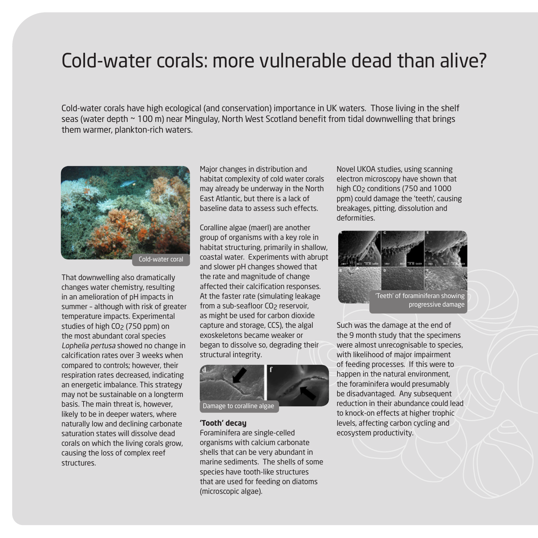### Cold-water corals: more vulnerable dead than alive?

Cold-water corals have high ecological (and conservation) importance in UK waters. Those living in the shelf seas (water depth ~ 100 m) near Mingulay, North West Scotland benefit from tidal downwelling that brings them warmer, plankton-rich waters.



Cold-water coral

That downwelling also dramatically changes water chemistry, resulting in an amelioration of pH impacts in summer – although with risk of greater temperature impacts. Experimental studies of high CO<sub>2</sub> (750 ppm) on the most abundant coral species Lophelia pertusa showed no change in calcification rates over 3 weeks when compared to controls; however, their respiration rates decreased, indicating an energetic imbalance. This strategy may not be sustainable on a longterm basis. The main threat is, however, likely to be in deeper waters, where naturally low and declining carbonate saturation states will dissolve dead corals on which the living corals grow, causing the loss of complex reef structures.

Major changes in distribution and habitat complexity of cold water corals may already be underway in the North East Atlantic, but there is a lack of baseline data to assess such effects.

Coralline algae (maerl) are another group of organisms with a key role in habitat structuring, primarily in shallow, coastal water. Experiments with abrupt and slower pH changes showed that the rate and magnitude of change affected their calcification responses. At the faster rate (simulating leakage from a sub-seafloor CO<sub>2</sub> reservoir, as might be used for carbon dioxide capture and storage, CCS), the algal exoskeletons became weaker or began to dissolve so, degrading their structural integrity.



#### **'Tooth' decay**

Foraminifera are single-celled organisms with calcium carbonate shells that can be very abundant in marine sediments. The shells of some species have tooth-like structures that are used for feeding on diatoms (microscopic algae).

Novel UKOA studies, using scanning electron microscopy have shown that high CO<sub>2</sub> conditions (750 and 1000 ppm) could damage the 'teeth', causing breakages, pitting, dissolution and deformities.



Such was the damage at the end of the 9 month study that the specimens were almost unrecognisable to species, with likelihood of major impairment of feeding processes. If this were to happen in the natural environment, the foraminifera would presumably be disadvantaged. Any subsequent reduction in their abundance could lead to knock-on effects at higher trophic levels, affecting carbon cycling and ecosystem productivity.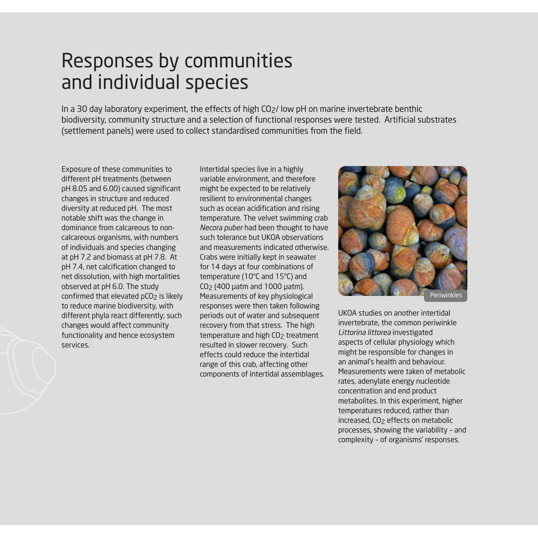# Responses by communities and individual species

In a 30 day laboratory experiment, the effects of high CO2/ low pH on marine invertebrate benthic biodiversity, community structure and a selection of functional responses were tested. Artificial substrates (settlement panels) were used to collect standardised communities from the field.

Exposure of these communities to different pH treatments (between pH 8.05 and 6.00) caused significant changes in structure and reduced diversity at reduced pH. The most notable shift was the change in dominance from calcareous to noncalcareous organisms, with numbers of individuals and species changing at pH 7.2 and biomass at pH 7.8. At pH 7.4, net calcification changed to net dissolution, with high mortalities observed at pH 6.0. The study confirmed that elevated pCO<sub>2</sub> is likely to reduce marine biodiversity, with different phyla react differently; such changes would affect community functionality and hence ecosystem services.

Intertidal species live in a highly variable environment, and therefore might be expected to be relatively resilient to environmental changes such as ocean acidification and rising temperature. The velvet swimming crab Necora puber had been thought to have such tolerance but UKOA observations and measurements indicated otherwise. Crabs were initially kept in seawater for 14 days at four combinations of temperature (10°C and 15°C) and CO2 (400 µatm and 1000 µatm). Measurements of key physiological responses were then taken following periods out of water and subsequent recovery from that stress. The high temperature and high CO<sub>2</sub> treatment resulted in slower recovery. Such effects could reduce the intertidal range of this crab, affecting other components of intertidal assemblages.



UKOA studies on another intertidal invertebrate, the common periwinkle Littorina littorea investigated aspects of cellular physiology which might be responsible for changes in an animal's health and behaviour. Measurements were taken of metabolic rates, adenylate energy nucleotide concentration and end product metabolites. In this experiment, higher temperatures reduced, rather than increased, CO<sub>2</sub> effects on metabolic processes, showing the variability – and complexity – of organisms' responses.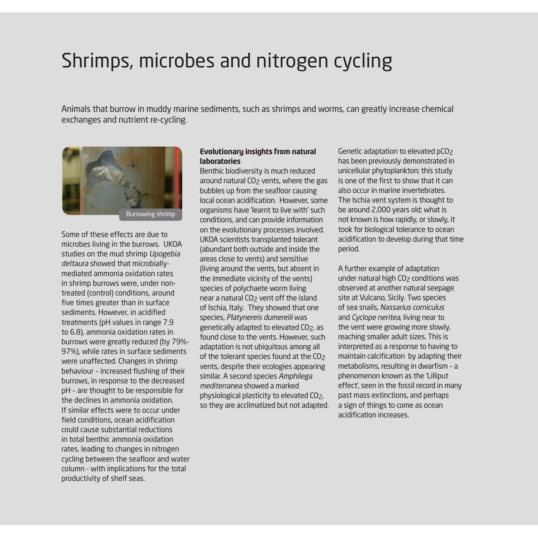### Shrimps, microbes and nitrogen cycling

Animals that burrow in muddy marine sediments, such as shrimps and worms, can greatly increase chemical exchanges and nutrient re-cycling.



Some of these effects are due to microbes living in the burrows. UKOA studies on the mud shrimp Upogebia deltaura showed that microbiallymediated ammonia oxidation rates in shrimp burrows were, under nontreated (control) conditions, around five times greater than in surface sediments. However, in acidified treatments (pH values in range 7.9 to 6.8), ammonia oxidation rates in burrows were greatly reduced (by 79%- 97%), while rates in surface sediments were unaffected. Changes in shrimp behaviour – increased flushing of their burrows, in response to the decreased pH – are thought to be responsible for the declines in ammonia oxidation. If similar effects were to occur under field conditions, ocean acidification could cause substantial reductions in total benthic ammonia oxidation rates, leading to changes in nitrogen cycling between the seafloor and water column - with implications for the total productivity of shelf seas.

### **Evolutionary insights from natural laboratories**

Benthic biodiversity is much reduced around natural CO2 vents, where the gas bubbles up from the seafloor causing local ocean acidification. However, some organisms have 'learnt to live with' such conditions, and can provide information on the evolutionary processes involved. UKOA scientists transplanted tolerant (abundant both outside and inside the areas close to vents) and sensitive (living around the vents, but absent in the immediate vicinity of the vents) species of polychaete worm living near a natural CO<sub>2</sub> vent off the island of Ischia, Italy. They showed that one species, Platynereis dumerelii was genetically adapted to elevated CO2, as found close to the vents. However, such adaptation is not ubiquitous among all of the tolerant species found at the CO<sub>2</sub> vents, despite their ecologies appearing similar. A second species Amphilega mediterranea showed a marked physiological plasticity to elevated CO2, so they are acclimatized but not adapted. Genetic adaptation to elevated pCO2 has been previously demonstrated in unicellular phytoplankton; this study is one of the first to show that it can also occur in marine invertebrates. The Ischia vent system is thought to be around 2,000 years old; what is not known is how rapidly, or slowly, it took for biological tolerance to ocean acidification to develop during that time period.

A further example of adaptation under natural high CO<sub>2</sub> conditions was observed at another natural seepage site at Vulcano, Sicily. Two species of sea snails, Nassarius corniculus and Cyclope neritea, living near to the vent were growing more slowly, reaching smaller adult sizes. This is interpreted as a response to having to maintain calcification by adapting their metabolisms, resulting in dwarfism – a phenomenon known as the 'Lilliput effect', seen in the fossil record in many past mass extinctions, and perhaps a sign of things to come as ocean acidification increases.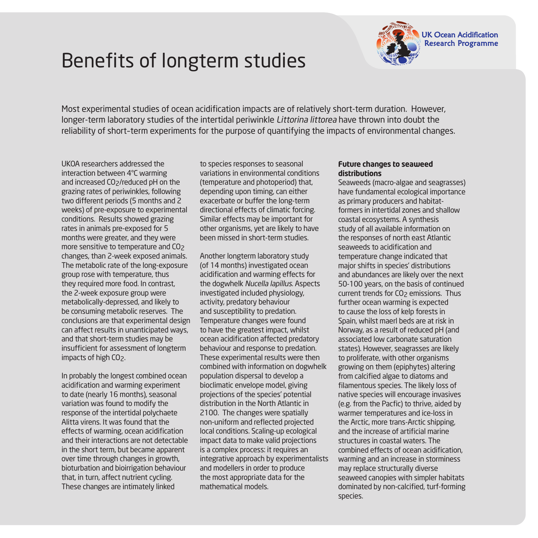# Benefits of longterm studies



Most experimental studies of ocean acidification impacts are of relatively short-term duration. However, longer-term laboratory studies of the intertidal periwinkle Littorina littorea have thrown into doubt the reliability of short–term experiments for the purpose of quantifying the impacts of environmental changes.

UKOA researchers addressed the interaction between 4°C warming and increased CO<sub>2</sub>/reduced pH on the grazing rates of periwinkles, following two different periods (5 months and 2 weeks) of pre-exposure to experimental conditions. Results showed grazing rates in animals pre-exposed for 5 months were greater, and they were more sensitive to temperature and CO<sub>2</sub> changes, than 2-week exposed animals. The metabolic rate of the long-exposure group rose with temperature, thus they required more food. In contrast, the 2-week exposure group were metabolically-depressed, and likely to be consuming metabolic reserves. The conclusions are that experimental design can affect results in unanticipated ways, and that short-term studies may be insufficient for assessment of longterm impacts of high CO2.

In probably the longest combined ocean acidification and warming experiment to date (nearly 16 months), seasonal variation was found to modify the response of the intertidal polychaete Alitta virens. It was found that the effects of warming, ocean acidification and their interactions are not detectable in the short term, but became apparent over time through changes in growth, bioturbation and bioirrigation behaviour that, in turn, affect nutrient cycling. These changes are intimately linked

to species responses to seasonal variations in environmental conditions (temperature and photoperiod) that, depending upon timing, can either exacerbate or buffer the long-term directional effects of climatic forcing. Similar effects may be important for other organisms, yet are likely to have been missed in short-term studies.

Another longterm laboratory study (of 14 months) investigated ocean acidification and warming effects for the dogwhelk Nucella lapillus. Aspects investigated included physiology, activity, predatory behaviour and susceptibility to predation. Temperature changes were found to have the greatest impact, whilst ocean acidification affected predatory behaviour and response to predation. These experimental results were then combined with information on dogwhelk population dispersal to develop a bioclimatic envelope model, giving projections of the species' potential distribution in the North Atlantic in 2100. The changes were spatially non-uniform and reflected projected local conditions. Scaling-up ecological impact data to make valid projections is a complex process: it requires an integrative approach by experimentalists and modellers in order to produce the most appropriate data for the mathematical models.

### **Future changes to seaweed distributions**

Seaweeds (macro-algae and seagrasses) have fundamental ecological importance as primary producers and habitatformers in intertidal zones and shallow coastal ecosystems. A synthesis study of all available information on the responses of north east Atlantic seaweeds to acidification and temperature change indicated that major shifts in species' distributions and abundances are likely over the next 50-100 years, on the basis of continued current trends for CO<sub>2</sub> emissions. Thus further ocean warming is expected to cause the loss of kelp forests in Spain, whilst maerl beds are at risk in Norway, as a result of reduced pH (and associated low carbonate saturation states). However, seagrasses are likely to proliferate, with other organisms growing on them (epiphytes) altering from calcified algae to diatoms and filamentous species. The likely loss of native species will encourage invasives (e.g. from the Pacfic) to thrive, aided by warmer temperatures and ice-loss in the Arctic, more trans-Arctic shipping, and the increase of artificial marine structures in coastal waters. The combined effects of ocean acidification, warming and an increase in storminess may replace structurally diverse seaweed canopies with simpler habitats dominated by non-calcified, turf-forming species.